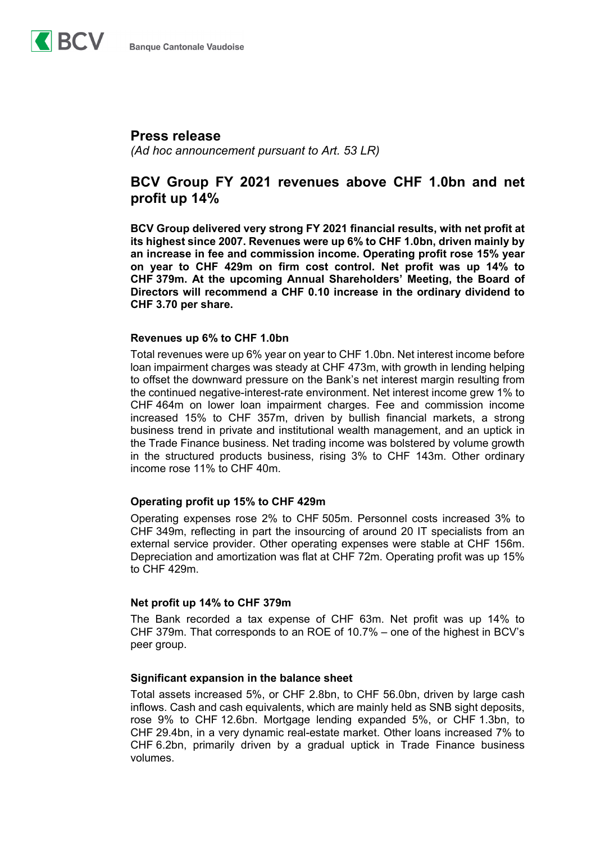

## **Press release**

*(Ad hoc announcement pursuant to Art. 53 LR)* 

## **BCV Group FY 2021 revenues above CHF 1.0bn and net profit up 14%**

**BCV Group delivered very strong FY 2021 financial results, with net profit at its highest since 2007. Revenues were up 6% to CHF 1.0bn, driven mainly by an increase in fee and commission income. Operating profit rose 15% year on year to CHF 429m on firm cost control. Net profit was up 14% to CHF 379m. At the upcoming Annual Shareholders' Meeting, the Board of Directors will recommend a CHF 0.10 increase in the ordinary dividend to CHF 3.70 per share.** 

### **Revenues up 6% to CHF 1.0bn**

Total revenues were up 6% year on year to CHF 1.0bn. Net interest income before loan impairment charges was steady at CHF 473m, with growth in lending helping to offset the downward pressure on the Bank's net interest margin resulting from the continued negative-interest-rate environment. Net interest income grew 1% to CHF 464m on lower loan impairment charges. Fee and commission income increased 15% to CHF 357m, driven by bullish financial markets, a strong business trend in private and institutional wealth management, and an uptick in the Trade Finance business. Net trading income was bolstered by volume growth in the structured products business, rising 3% to CHF 143m. Other ordinary income rose 11% to CHF 40m.

## **Operating profit up 15% to CHF 429m**

Operating expenses rose 2% to CHF 505m. Personnel costs increased 3% to CHF 349m, reflecting in part the insourcing of around 20 IT specialists from an external service provider. Other operating expenses were stable at CHF 156m. Depreciation and amortization was flat at CHF 72m. Operating profit was up 15% to CHF 429m.

#### **Net profit up 14% to CHF 379m**

The Bank recorded a tax expense of CHF 63m. Net profit was up 14% to CHF 379m. That corresponds to an ROE of 10.7% – one of the highest in BCV's peer group.

#### **Significant expansion in the balance sheet**

Total assets increased 5%, or CHF 2.8bn, to CHF 56.0bn, driven by large cash inflows. Cash and cash equivalents, which are mainly held as SNB sight deposits, rose 9% to CHF 12.6bn. Mortgage lending expanded 5%, or CHF 1.3bn, to CHF 29.4bn, in a very dynamic real-estate market. Other loans increased 7% to CHF 6.2bn, primarily driven by a gradual uptick in Trade Finance business volumes.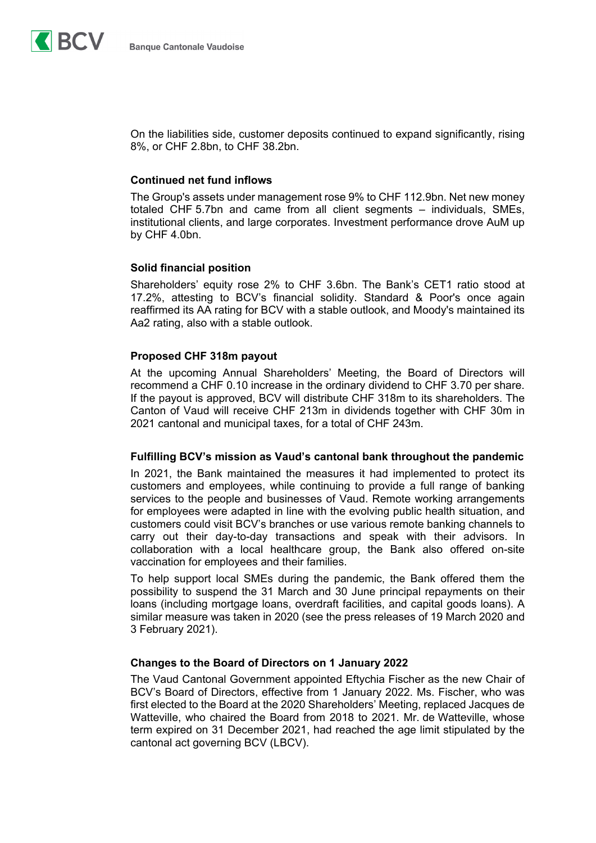

On the liabilities side, customer deposits continued to expand significantly, rising 8%, or CHF 2.8bn, to CHF 38.2bn.

#### **Continued net fund inflows**

The Group's assets under management rose 9% to CHF 112.9bn. Net new money totaled CHF 5.7bn and came from all client segments – individuals, SMEs, institutional clients, and large corporates. Investment performance drove AuM up by CHF 4.0bn.

#### **Solid financial position**

Shareholders' equity rose 2% to CHF 3.6bn. The Bank's CET1 ratio stood at 17.2%, attesting to BCV's financial solidity. Standard & Poor's once again reaffirmed its AA rating for BCV with a stable outlook, and Moody's maintained its Aa2 rating, also with a stable outlook.

### **Proposed CHF 318m payout**

At the upcoming Annual Shareholders' Meeting, the Board of Directors will recommend a CHF 0.10 increase in the ordinary dividend to CHF 3.70 per share. If the payout is approved, BCV will distribute CHF 318m to its shareholders. The Canton of Vaud will receive CHF 213m in dividends together with CHF 30m in 2021 cantonal and municipal taxes, for a total of CHF 243m.

#### **Fulfilling BCV's mission as Vaud's cantonal bank throughout the pandemic**

In 2021, the Bank maintained the measures it had implemented to protect its customers and employees, while continuing to provide a full range of banking services to the people and businesses of Vaud. Remote working arrangements for employees were adapted in line with the evolving public health situation, and customers could visit BCV's branches or use various remote banking channels to carry out their day-to-day transactions and speak with their advisors. In collaboration with a local healthcare group, the Bank also offered on-site vaccination for employees and their families.

To help support local SMEs during the pandemic, the Bank offered them the possibility to suspend the 31 March and 30 June principal repayments on their loans (including mortgage loans, overdraft facilities, and capital goods loans). A similar measure was taken in 2020 (see the press releases of 19 March 2020 and 3 February 2021).

#### **Changes to the Board of Directors on 1 January 2022**

The Vaud Cantonal Government appointed Eftychia Fischer as the new Chair of BCV's Board of Directors, effective from 1 January 2022. Ms. Fischer, who was first elected to the Board at the 2020 Shareholders' Meeting, replaced Jacques de Watteville, who chaired the Board from 2018 to 2021. Mr. de Watteville, whose term expired on 31 December 2021, had reached the age limit stipulated by the cantonal act governing BCV (LBCV).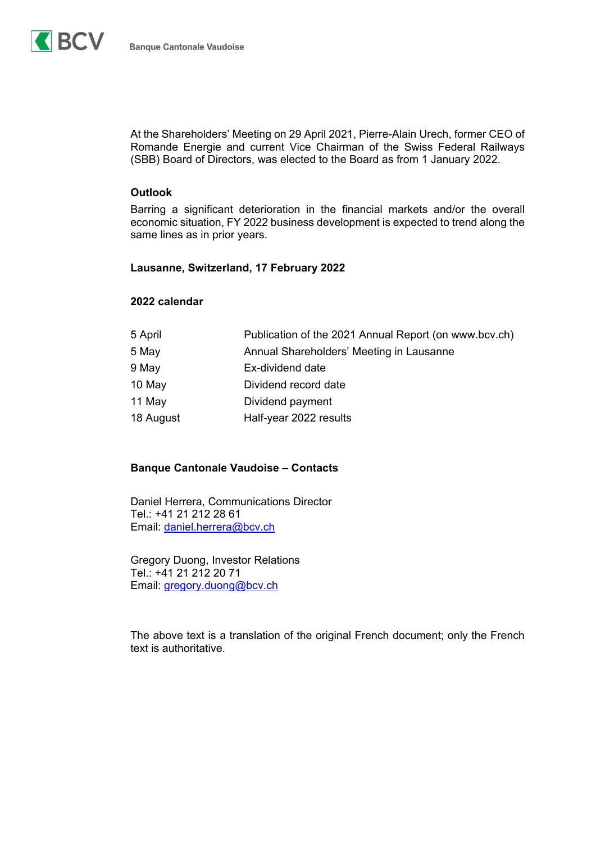

At the Shareholders' Meeting on 29 April 2021, Pierre-Alain Urech, former CEO of Romande Energie and current Vice Chairman of the Swiss Federal Railways (SBB) Board of Directors, was elected to the Board as from 1 January 2022.

#### **Outlook**

Barring a significant deterioration in the financial markets and/or the overall economic situation, FY 2022 business development is expected to trend along the same lines as in prior years.

### **Lausanne, Switzerland, 17 February 2022**

#### **2022 calendar**

| Publication of the 2021 Annual Report (on www.bcv.ch) |
|-------------------------------------------------------|
| Annual Shareholders' Meeting in Lausanne              |
| Ex-dividend date                                      |
| Dividend record date                                  |
| Dividend payment                                      |
| Half-year 2022 results                                |
|                                                       |

#### **Banque Cantonale Vaudoise – Contacts**

Daniel Herrera, Communications Director Tel.: +41 21 212 28 61 Email: daniel.herrera@bcv.ch

Gregory Duong, Investor Relations Tel.: +41 21 212 20 71 Email: gregory.duong@bcv.ch

The above text is a translation of the original French document; only the French text is authoritative.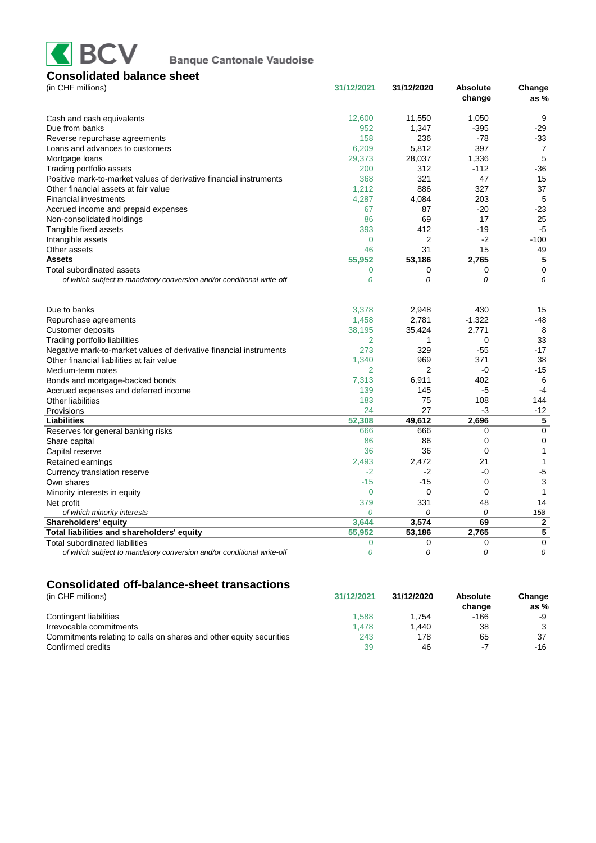

| (in CHF millions)                                                     | 31/12/2021     | 31/12/2020     | <b>Absolute</b><br>change | Change<br>as $%$ |
|-----------------------------------------------------------------------|----------------|----------------|---------------------------|------------------|
| Cash and cash equivalents                                             | 12,600         | 11,550         | 1,050                     | 9                |
| Due from banks                                                        | 952            | 1,347          | $-395$                    | $-29$            |
| Reverse repurchase agreements                                         | 158            | 236            | -78                       | $-33$            |
| Loans and advances to customers                                       | 6,209          | 5,812          | 397                       | $\overline{7}$   |
| Mortgage loans                                                        | 29,373         | 28,037         | 1,336                     | 5                |
| Trading portfolio assets                                              | 200            | 312            | $-112$                    | $-36$            |
| Positive mark-to-market values of derivative financial instruments    | 368            | 321            | 47                        | 15               |
| Other financial assets at fair value                                  | 1,212          | 886            | 327                       | 37               |
| <b>Financial investments</b>                                          | 4,287          | 4,084          | 203                       | 5                |
| Accrued income and prepaid expenses                                   | 67             | 87             | $-20$                     | $-23$            |
| Non-consolidated holdings                                             | 86             | 69             | 17                        | 25               |
| Tangible fixed assets                                                 | 393            | 412            | $-19$                     | $-5$             |
| Intangible assets                                                     | $\overline{0}$ | $\overline{2}$ | $-2$                      | $-100$           |
| Other assets                                                          | 46             | 31             | 15                        | 49               |
| <b>Assets</b>                                                         | 55,952         | 53,186         | 2,765                     | 5                |
| Total subordinated assets                                             | $\overline{0}$ | 0              | $\mathbf 0$               | $\mathbf 0$      |
| of which subject to mandatory conversion and/or conditional write-off | 0              | 0              | 0                         | $\Omega$         |
| Due to banks                                                          | 3,378          | 2,948          | 430                       | 15               |
| Repurchase agreements                                                 | 1,458          | 2,781          | $-1,322$                  | -48              |
| Customer deposits                                                     | 38,195         | 35,424         | 2,771                     | 8                |
| Trading portfolio liabilities                                         | $\overline{2}$ | 1              | $\mathbf 0$               | 33               |
| Negative mark-to-market values of derivative financial instruments    | 273            | 329            | $-55$                     | $-17$            |
| Other financial liabilities at fair value                             | 1,340          | 969            | 371                       | 38               |
| Medium-term notes                                                     | 2              | 2              | -0                        | $-15$            |
| Bonds and mortgage-backed bonds                                       | 7,313          | 6,911          | 402                       | 6                |
| Accrued expenses and deferred income                                  | 139            | 145            | -5                        | $-4$             |
| <b>Other liabilities</b>                                              | 183            | 75             | 108                       | 144              |
| Provisions                                                            | 24             | 27             | -3                        | $-12$            |
| Liabilities                                                           | 52,308         | 49,612         | 2,696                     | 5                |
| Reserves for general banking risks                                    | 666            | 666            | $\mathbf 0$               | $\mathbf 0$      |
| Share capital                                                         | 86             | 86             | $\mathbf 0$               | $\Omega$         |
| Capital reserve                                                       | 36             | 36             | $\mathbf 0$               | $\mathbf{1}$     |
| Retained earnings                                                     | 2,493          | 2.472          | 21                        | $\mathbf{1}$     |
| Currency translation reserve                                          | $-2$           | $-2$           | -0                        | $-5$             |
| Own shares                                                            | $-15$          | $-15$          | $\mathbf 0$               | 3                |
| Minority interests in equity                                          | $\mathbf 0$    | 0              | $\mathbf 0$               | 1                |
| Net profit                                                            | 379            | 331            | 48                        | 14               |
| of which minority interests                                           | $\Omega$       | 0              | 0                         | 158              |
| <b>Shareholders' equity</b>                                           | 3,644          | 3,574          | 69                        | $\mathbf{2}$     |
| Total liabilities and shareholders' equity                            | 55,952         | 53,186         | 2,765                     | 5                |
| <b>Total subordinated liabilities</b>                                 | $\overline{0}$ | 0              | 0                         | $\mathbf 0$      |
| of which subject to mandatory conversion and/or conditional write-off | 0              | 0              | 0                         | 0                |
|                                                                       |                |                |                           |                  |

## **Consolidated off-balance-sheet transactions**

| (in CHF millions)                                                   | 31/12/2021 | 31/12/2020 | <b>Absolute</b><br>change | Change<br>as $%$ |
|---------------------------------------------------------------------|------------|------------|---------------------------|------------------|
| Contingent liabilities                                              | 1.588      | 1.754      | -166                      | -9               |
| Irrevocable commitments                                             | 1.478      | 1.440      | 38                        | 3                |
| Commitments relating to calls on shares and other equity securities | 243        | 178        | 65                        | 37               |
| Confirmed credits                                                   | 39         | 46         | - 1                       | -16              |